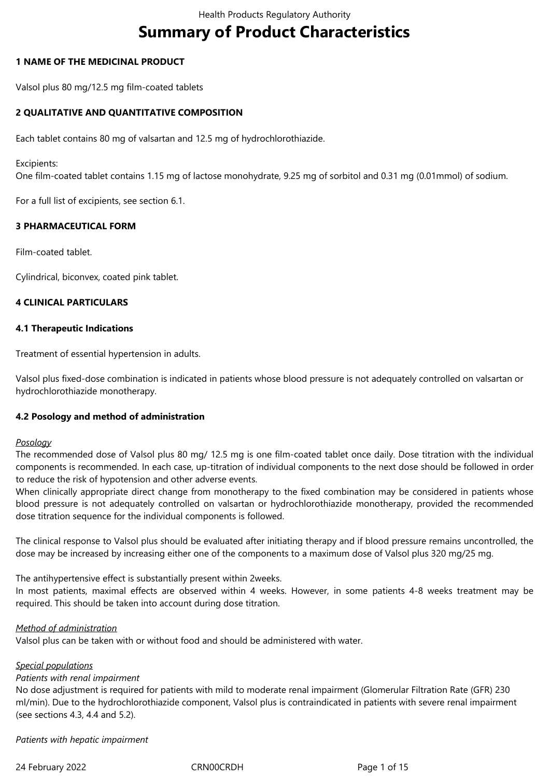# **Summary of Product Characteristics**

## **1 NAME OF THE MEDICINAL PRODUCT**

Valsol plus 80 mg/12.5 mg film-coated tablets

## **2 QUALITATIVE AND QUANTITATIVE COMPOSITION**

Each tablet contains 80 mg of valsartan and 12.5 mg of hydrochlorothiazide.

Excipients:

One film-coated tablet contains 1.15 mg of lactose monohydrate, 9.25 mg of sorbitol and 0.31 mg (0.01mmol) of sodium.

For a full list of excipients, see section 6.1.

## **3 PHARMACEUTICAL FORM**

Film-coated tablet.

Cylindrical, biconvex, coated pink tablet.

## **4 CLINICAL PARTICULARS**

#### **4.1 Therapeutic Indications**

Treatment of essential hypertension in adults.

Valsol plus fixed-dose combination is indicated in patients whose blood pressure is not adequately controlled on valsartan or hydrochlorothiazide monotherapy.

#### **4.2 Posology and method of administration**

#### *Posology*

The recommended dose of Valsol plus 80 mg/ 12.5 mg is one film-coated tablet once daily. Dose titration with the individual components is recommended. In each case, up-titration of individual components to the next dose should be followed in order to reduce the risk of hypotension and other adverse events.

When clinically appropriate direct change from monotherapy to the fixed combination may be considered in patients whose blood pressure is not adequately controlled on valsartan or hydrochlorothiazide monotherapy, provided the recommended dose titration sequence for the individual components is followed.

The clinical response to Valsol plus should be evaluated after initiating therapy and if blood pressure remains uncontrolled, the dose may be increased by increasing either one of the components to a maximum dose of Valsol plus 320 mg/25 mg.

The antihypertensive effect is substantially present within 2weeks.

In most patients, maximal effects are observed within 4 weeks. However, in some patients 4-8 weeks treatment may be required. This should be taken into account during dose titration.

#### *Method of administration*

Valsol plus can be taken with or without food and should be administered with water.

## *Special populations*

#### *Patients with renal impairment*

No dose adjustment is required for patients with mild to moderate renal impairment (Glomerular Filtration Rate (GFR) 230 ml/min). Due to the hydrochlorothiazide component, Valsol plus is contraindicated in patients with severe renal impairment (see sections 4.3, 4.4 and 5.2).

*Patients with hepatic impairment*

24 February 2022 CRN00CRDH Page 1 of 15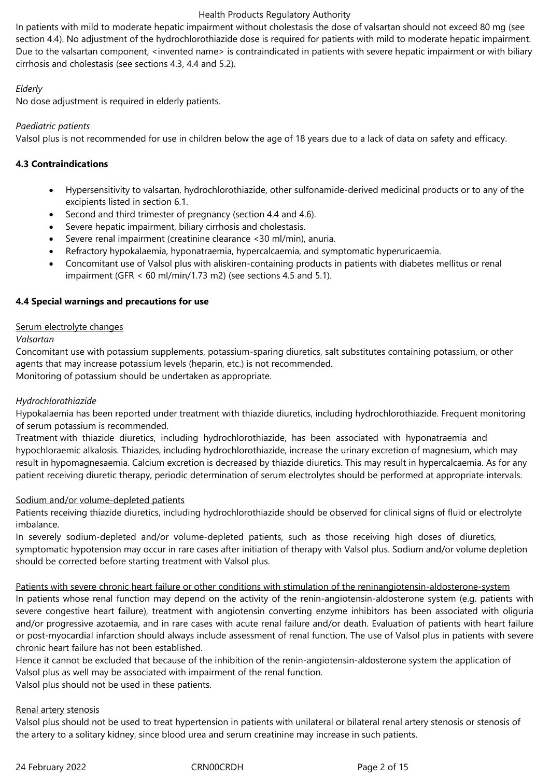In patients with mild to moderate hepatic impairment without cholestasis the dose of valsartan should not exceed 80 mg (see section 4.4). No adjustment of the hydrochlorothiazide dose is required for patients with mild to moderate hepatic impairment. Due to the valsartan component, <invented name> is contraindicated in patients with severe hepatic impairment or with biliary cirrhosis and cholestasis (see sections 4.3, 4.4 and 5.2).

## *Elderly*

No dose adjustment is required in elderly patients.

## *Paediatric patients*

Valsol plus is not recommended for use in children below the age of 18 years due to a lack of data on safety and efficacy.

# **4.3 Contraindications**

- Hypersensitivity to valsartan, hydrochlorothiazide, other sulfonamide-derived medicinal products or to any of the excipients listed in section 6.1.
- Second and third trimester of pregnancy (section 4.4 and 4.6).
- Severe hepatic impairment, biliary cirrhosis and cholestasis.
- Severe renal impairment (creatinine clearance <30 ml/min), anuria.
- Refractory hypokalaemia, hyponatraemia, hypercalcaemia, and symptomatic hyperuricaemia.
- Concomitant use of Valsol plus with aliskiren-containing products in patients with diabetes mellitus or renal impairment (GFR < 60 ml/min/1.73 m2) (see sections 4.5 and 5.1).

# **4.4 Special warnings and precautions for use**

## Serum electrolyte changes

## *Valsartan*

Concomitant use with potassium supplements, potassium-sparing diuretics, salt substitutes containing potassium, or other agents that may increase potassium levels (heparin, etc.) is not recommended. Monitoring of potassium should be undertaken as appropriate.

# *Hydrochlorothiazide*

Hypokalaemia has been reported under treatment with thiazide diuretics, including hydrochlorothiazide. Frequent monitoring of serum potassium is recommended.

Treatment with thiazide diuretics, including hydrochlorothiazide, has been associated with hyponatraemia and hypochloraemic alkalosis. Thiazides, including hydrochlorothiazide, increase the urinary excretion of magnesium, which may result in hypomagnesaemia. Calcium excretion is decreased by thiazide diuretics. This may result in hypercalcaemia. As for any patient receiving diuretic therapy, periodic determination of serum electrolytes should be performed at appropriate intervals.

## Sodium and/or volume-depleted patients

Patients receiving thiazide diuretics, including hydrochlorothiazide should be observed for clinical signs of fluid or electrolyte imbalance.

In severely sodium-depleted and/or volume-depleted patients, such as those receiving high doses of diuretics, symptomatic hypotension may occur in rare cases after initiation of therapy with Valsol plus. Sodium and/or volume depletion should be corrected before starting treatment with Valsol plus.

Patients with severe chronic heart failure or other conditions with stimulation of the reninangiotensin-aldosterone-system In patients whose renal function may depend on the activity of the renin-angiotensin-aldosterone system (e.g. patients with severe congestive heart failure), treatment with angiotensin converting enzyme inhibitors has been associated with oliguria and/or progressive azotaemia, and in rare cases with acute renal failure and/or death. Evaluation of patients with heart failure or post-myocardial infarction should always include assessment of renal function. The use of Valsol plus in patients with severe chronic heart failure has not been established.

Hence it cannot be excluded that because of the inhibition of the renin-angiotensin-aldosterone system the application of Valsol plus as well may be associated with impairment of the renal function.

Valsol plus should not be used in these patients.

## Renal artery stenosis

Valsol plus should not be used to treat hypertension in patients with unilateral or bilateral renal artery stenosis or stenosis of the artery to a solitary kidney, since blood urea and serum creatinine may increase in such patients.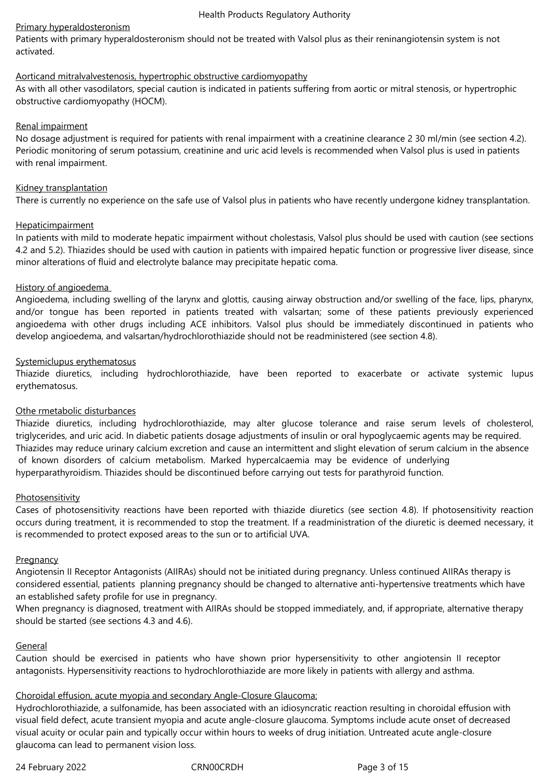## Primary hyperaldosteronism

Patients with primary hyperaldosteronism should not be treated with Valsol plus as their reninangiotensin system is not activated.

# Aorticand mitralvalvestenosis, hypertrophic obstructive cardiomyopathy

As with all other vasodilators, special caution is indicated in patients suffering from aortic or mitral stenosis, or hypertrophic obstructive cardiomyopathy (HOCM).

## Renal impairment

No dosage adjustment is required for patients with renal impairment with a creatinine clearance 2 30 ml/min (see section 4.2). Periodic monitoring of serum potassium, creatinine and uric acid levels is recommended when Valsol plus is used in patients with renal impairment.

## Kidney transplantation

There is currently no experience on the safe use of Valsol plus in patients who have recently undergone kidney transplantation.

# **Hepaticimpairment**

In patients with mild to moderate hepatic impairment without cholestasis, Valsol plus should be used with caution (see sections 4.2 and 5.2). Thiazides should be used with caution in patients with impaired hepatic function or progressive liver disease, since minor alterations of fluid and electrolyte balance may precipitate hepatic coma.

## History of angioedema

Angioedema, including swelling of the larynx and glottis, causing airway obstruction and/or swelling of the face, lips, pharynx, and/or tongue has been reported in patients treated with valsartan; some of these patients previously experienced angioedema with other drugs including ACE inhibitors. Valsol plus should be immediately discontinued in patients who develop angioedema, and valsartan/hydrochlorothiazide should not be readministered (see section 4.8).

## Systemiclupus erythematosus

Thiazide diuretics, including hydrochlorothiazide, have been reported to exacerbate or activate systemic lupus erythematosus.

## Othe rmetabolic disturbances

Thiazide diuretics, including hydrochlorothiazide, may alter glucose tolerance and raise serum levels of cholesterol, triglycerides, and uric acid. In diabetic patients dosage adjustments of insulin or oral hypoglycaemic agents may be required. Thiazides may reduce urinary calcium excretion and cause an intermittent and slight elevation of serum calcium in the absence of known disorders of calcium metabolism. Marked hypercalcaemia may be evidence of underlying hyperparathyroidism. Thiazides should be discontinued before carrying out tests for parathyroid function.

## Photosensitivity

Cases of photosensitivity reactions have been reported with thiazide diuretics (see section 4.8). If photosensitivity reaction occurs during treatment, it is recommended to stop the treatment. If a readministration of the diuretic is deemed necessary, it is recommended to protect exposed areas to the sun or to artificial UVA.

## **Pregnancy**

Angiotensin II Receptor Antagonists (AIIRAs) should not be initiated during pregnancy. Unless continued AIIRAs therapy is considered essential, patients planning pregnancy should be changed to alternative anti-hypertensive treatments which have an established safety profile for use in pregnancy.

When pregnancy is diagnosed, treatment with AIIRAs should be stopped immediately, and, if appropriate, alternative therapy should be started (see sections 4.3 and 4.6).

## General

Caution should be exercised in patients who have shown prior hypersensitivity to other angiotensin II receptor antagonists. Hypersensitivity reactions to hydrochlorothiazide are more likely in patients with allergy and asthma.

# Choroidal effusion, acute myopia and secondary Angle-Closure Glaucoma:

Hydrochlorothiazide, a sulfonamide, has been associated with an idiosyncratic reaction resulting in choroidal effusion with visual field defect, acute transient myopia and acute angle-closure glaucoma. Symptoms include acute onset of decreased visual acuity or ocular pain and typically occur within hours to weeks of drug initiation. Untreated acute angle-closure glaucoma can lead to permanent vision loss.

24 February 2022 CRN00CRDH Page 3 of 15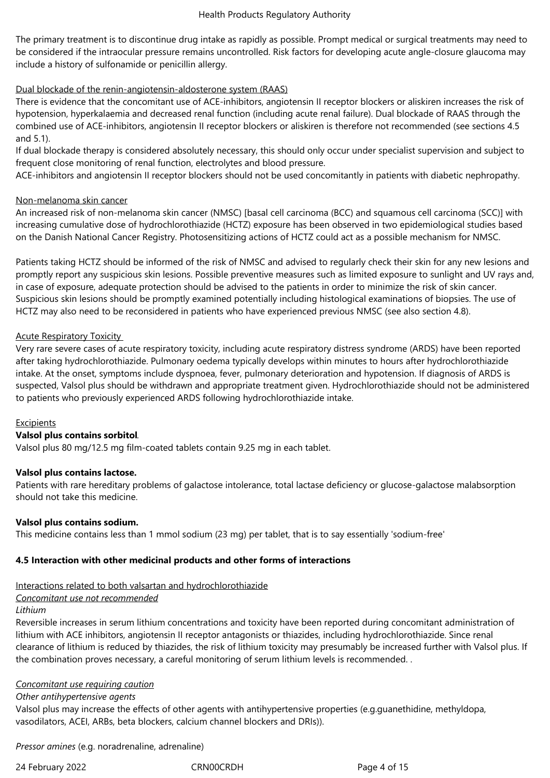The primary treatment is to discontinue drug intake as rapidly as possible. Prompt medical or surgical treatments may need to be considered if the intraocular pressure remains uncontrolled. Risk factors for developing acute angle-closure glaucoma may include a history of sulfonamide or penicillin allergy.

## Dual blockade of the renin-angiotensin-aldosterone system (RAAS)

There is evidence that the concomitant use of ACE-inhibitors, angiotensin II receptor blockers or aliskiren increases the risk of hypotension, hyperkalaemia and decreased renal function (including acute renal failure). Dual blockade of RAAS through the combined use of ACE-inhibitors, angiotensin II receptor blockers or aliskiren is therefore not recommended (see sections 4.5 and 5.1).

If dual blockade therapy is considered absolutely necessary, this should only occur under specialist supervision and subject to frequent close monitoring of renal function, electrolytes and blood pressure.

ACE-inhibitors and angiotensin II receptor blockers should not be used concomitantly in patients with diabetic nephropathy.

#### Non-melanoma skin cancer

An increased risk of non-melanoma skin cancer (NMSC) [basal cell carcinoma (BCC) and squamous cell carcinoma (SCC)] with increasing cumulative dose of hydrochlorothiazide (HCTZ) exposure has been observed in two epidemiological studies based on the Danish National Cancer Registry. Photosensitizing actions of HCTZ could act as a possible mechanism for NMSC.

Patients taking HCTZ should be informed of the risk of NMSC and advised to regularly check their skin for any new lesions and promptly report any suspicious skin lesions. Possible preventive measures such as limited exposure to sunlight and UV rays and, in case of exposure, adequate protection should be advised to the patients in order to minimize the risk of skin cancer. Suspicious skin lesions should be promptly examined potentially including histological examinations of biopsies. The use of HCTZ may also need to be reconsidered in patients who have experienced previous NMSC (see also section 4.8).

#### Acute Respiratory Toxicity

Very rare severe cases of acute respiratory toxicity, including acute respiratory distress syndrome (ARDS) have been reported after taking hydrochlorothiazide. Pulmonary oedema typically develops within minutes to hours after hydrochlorothiazide intake. At the onset, symptoms include dyspnoea, fever, pulmonary deterioration and hypotension. If diagnosis of ARDS is suspected, Valsol plus should be withdrawn and appropriate treatment given. Hydrochlorothiazide should not be administered to patients who previously experienced ARDS following hydrochlorothiazide intake.

#### Excipients

#### **Valsol plus contains sorbitol**.

Valsol plus 80 mg/12.5 mg film-coated tablets contain 9.25 mg in each tablet.

#### **Valsol plus contains lactose.**

Patients with rare hereditary problems of galactose intolerance, total lactase deficiency or glucose-galactose malabsorption should not take this medicine.

#### **Valsol plus contains sodium.**

This medicine contains less than 1 mmol sodium (23 mg) per tablet, that is to say essentially 'sodium-free'

#### **4.5 Interaction with other medicinal products and other forms of interactions**

#### Interactions related to both valsartan and hydrochlorothiazide

#### *Concomitant use not recommended*

## *Lithium*

Reversible increases in serum lithium concentrations and toxicity have been reported during concomitant administration of lithium with ACE inhibitors, angiotensin II receptor antagonists or thiazides, including hydrochlorothiazide. Since renal clearance of lithium is reduced by thiazides, the risk of lithium toxicity may presumably be increased further with Valsol plus. If the combination proves necessary, a careful monitoring of serum lithium levels is recommended. .

#### *Concomitant use requiring caution*

#### *Other antihypertensive agents*

Valsol plus may increase the effects of other agents with antihypertensive properties (e.g.guanethidine, methyldopa, vasodilators, ACEI, ARBs, beta blockers, calcium channel blockers and DRIs)).

*Pressor amines* (e.g. noradrenaline, adrenaline)

24 February 2022 CRN00CRDH CRNOOCRDH Page 4 of 15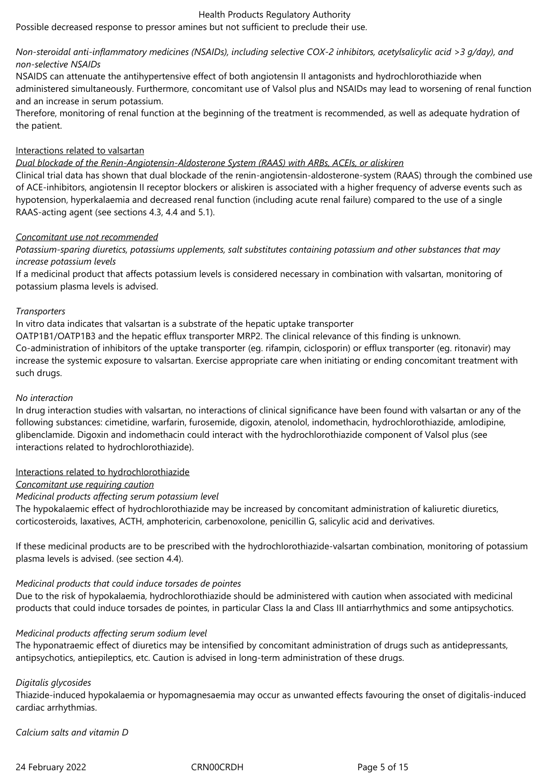Possible decreased response to pressor amines but not sufficient to preclude their use.

## *Non-steroidal anti-inflammatory medicines (NSAIDs), including selective COX-2 inhibitors, acetylsalicylic acid >3 g/day), and non-selective NSAIDs*

NSAIDS can attenuate the antihypertensive effect of both angiotensin II antagonists and hydrochlorothiazide when administered simultaneously. Furthermore, concomitant use of Valsol plus and NSAIDs may lead to worsening of renal function and an increase in serum potassium.

Therefore, monitoring of renal function at the beginning of the treatment is recommended, as well as adequate hydration of the patient.

## Interactions related to valsartan

## *Dual blockade of the Renin-Angiotensin-Aldosterone System (RAAS) with ARBs, ACEIs, or aliskiren*

Clinical trial data has shown that dual blockade of the renin-angiotensin-aldosterone-system (RAAS) through the combined use of ACE-inhibitors, angiotensin II receptor blockers or aliskiren is associated with a higher frequency of adverse events such as hypotension, hyperkalaemia and decreased renal function (including acute renal failure) compared to the use of a single RAAS-acting agent (see sections 4.3, 4.4 and 5.1).

## *Concomitant use not recommended*

*Potassium-sparing diuretics, potassiums upplements, salt substitutes containing potassium and other substances that may increase potassium levels*

If a medicinal product that affects potassium levels is considered necessary in combination with valsartan, monitoring of potassium plasma levels is advised.

## *Transporters*

In vitro data indicates that valsartan is a substrate of the hepatic uptake transporter

OATP1B1/OATP1B3 and the hepatic efflux transporter MRP2. The clinical relevance of this finding is unknown. Co-administration of inhibitors of the uptake transporter (eg. rifampin, ciclosporin) or efflux transporter (eg. ritonavir) may increase the systemic exposure to valsartan. Exercise appropriate care when initiating or ending concomitant treatment with such drugs.

## *No interaction*

In drug interaction studies with valsartan, no interactions of clinical significance have been found with valsartan or any of the following substances: cimetidine, warfarin, furosemide, digoxin, atenolol, indomethacin, hydrochlorothiazide, amlodipine, glibenclamide. Digoxin and indomethacin could interact with the hydrochlorothiazide component of Valsol plus (see interactions related to hydrochlorothiazide).

## Interactions related to hydrochlorothiazide

*Concomitant use requiring caution*

#### *Medicinal products affecting serum potassium level*

The hypokalaemic effect of hydrochlorothiazide may be increased by concomitant administration of kaliuretic diuretics, corticosteroids, laxatives, ACTH, amphotericin, carbenoxolone, penicillin G, salicylic acid and derivatives.

If these medicinal products are to be prescribed with the hydrochlorothiazide-valsartan combination, monitoring of potassium plasma levels is advised. (see section 4.4).

## *Medicinal products that could induce torsades de pointes*

Due to the risk of hypokalaemia, hydrochlorothiazide should be administered with caution when associated with medicinal products that could induce torsades de pointes, in particular Class Ia and Class III antiarrhythmics and some antipsychotics.

## *Medicinal products affecting serum sodium level*

The hyponatraemic effect of diuretics may be intensified by concomitant administration of drugs such as antidepressants, antipsychotics, antiepileptics, etc. Caution is advised in long-term administration of these drugs.

## *Digitalis glycosides*

Thiazide-induced hypokalaemia or hypomagnesaemia may occur as unwanted effects favouring the onset of digitalis-induced cardiac arrhythmias.

*Calcium salts and vitamin D*

24 February 2022 CRN00CRDH Page 5 of 15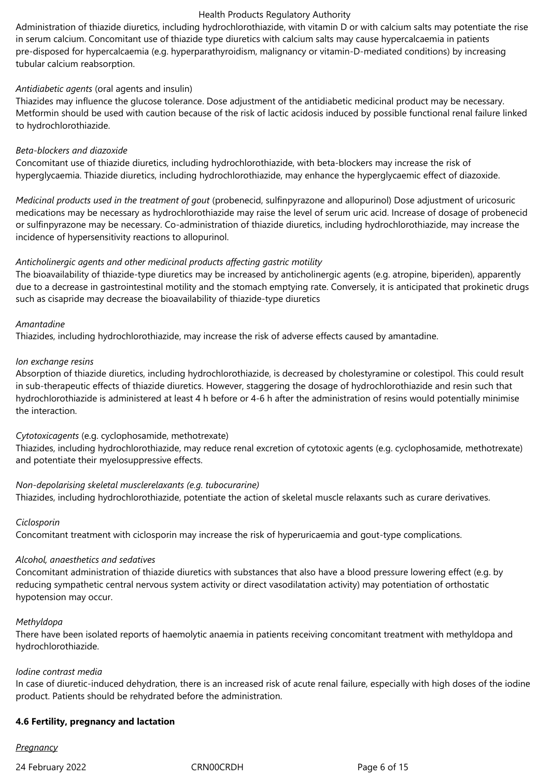Administration of thiazide diuretics, including hydrochlorothiazide, with vitamin D or with calcium salts may potentiate the rise in serum calcium. Concomitant use of thiazide type diuretics with calcium salts may cause hypercalcaemia in patients pre-disposed for hypercalcaemia (e.g. hyperparathyroidism, malignancy or vitamin-D-mediated conditions) by increasing tubular calcium reabsorption.

#### *Antidiabetic agents* (oral agents and insulin)

Thiazides may influence the glucose tolerance. Dose adjustment of the antidiabetic medicinal product may be necessary. Metformin should be used with caution because of the risk of lactic acidosis induced by possible functional renal failure linked to hydrochlorothiazide.

## *Beta-blockers and diazoxide*

Concomitant use of thiazide diuretics, including hydrochlorothiazide, with beta-blockers may increase the risk of hyperglycaemia. Thiazide diuretics, including hydrochlorothiazide, may enhance the hyperglycaemic effect of diazoxide.

*Medicinal products used in the treatment of gout* (probenecid, sulfinpyrazone and allopurinol) Dose adjustment of uricosuric medications may be necessary as hydrochlorothiazide may raise the level of serum uric acid. Increase of dosage of probenecid or sulfinpyrazone may be necessary. Co-administration of thiazide diuretics, including hydrochlorothiazide, may increase the incidence of hypersensitivity reactions to allopurinol.

## *Anticholinergic agents and other medicinal products affecting gastric motility*

The bioavailability of thiazide-type diuretics may be increased by anticholinergic agents (e.g. atropine, biperiden), apparently due to a decrease in gastrointestinal motility and the stomach emptying rate. Conversely, it is anticipated that prokinetic drugs such as cisapride may decrease the bioavailability of thiazide-type diuretics

## *Amantadine*

Thiazides, including hydrochlorothiazide, may increase the risk of adverse effects caused by amantadine.

## *Ion exchange resins*

Absorption of thiazide diuretics, including hydrochlorothiazide, is decreased by cholestyramine or colestipol. This could result in sub-therapeutic effects of thiazide diuretics. However, staggering the dosage of hydrochlorothiazide and resin such that hydrochlorothiazide is administered at least 4 h before or 4-6 h after the administration of resins would potentially minimise the interaction.

*Cytotoxicagents* (e.g. cyclophosamide, methotrexate)

Thiazides, including hydrochlorothiazide, may reduce renal excretion of cytotoxic agents (e.g. cyclophosamide, methotrexate) and potentiate their myelosuppressive effects.

#### *Non-depolarising skeletal musclerelaxants (e.g. tubocurarine)*

Thiazides, including hydrochlorothiazide, potentiate the action of skeletal muscle relaxants such as curare derivatives.

#### *Ciclosporin*

Concomitant treatment with ciclosporin may increase the risk of hyperuricaemia and gout-type complications.

#### *Alcohol, anaesthetics and sedatives*

Concomitant administration of thiazide diuretics with substances that also have a blood pressure lowering effect (e.g. by reducing sympathetic central nervous system activity or direct vasodilatation activity) may potentiation of orthostatic hypotension may occur.

#### *Methyldopa*

There have been isolated reports of haemolytic anaemia in patients receiving concomitant treatment with methyldopa and hydrochlorothiazide.

#### *Iodine contrast media*

In case of diuretic-induced dehydration, there is an increased risk of acute renal failure, especially with high doses of the iodine product. Patients should be rehydrated before the administration.

#### **4.6 Fertility, pregnancy and lactation**

#### *Pregnancy*

24 February 2022 CRN00CRDH Page 6 of 15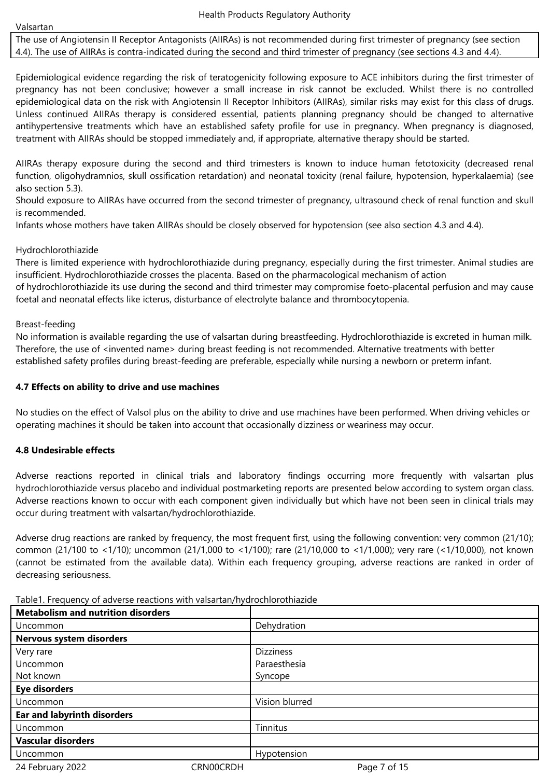Valsartan

The use of Angiotensin II Receptor Antagonists (AIIRAs) is not recommended during first trimester of pregnancy (see section 4.4). The use of AIIRAs is contra-indicated during the second and third trimester of pregnancy (see sections 4.3 and 4.4).

Epidemiological evidence regarding the risk of teratogenicity following exposure to ACE inhibitors during the first trimester of pregnancy has not been conclusive; however a small increase in risk cannot be excluded. Whilst there is no controlled epidemiological data on the risk with Angiotensin II Receptor Inhibitors (AIIRAs), similar risks may exist for this class of drugs. Unless continued AIIRAs therapy is considered essential, patients planning pregnancy should be changed to alternative antihypertensive treatments which have an established safety profile for use in pregnancy. When pregnancy is diagnosed, treatment with AIIRAs should be stopped immediately and, if appropriate, alternative therapy should be started.

AIIRAs therapy exposure during the second and third trimesters is known to induce human fetotoxicity (decreased renal function, oligohydramnios, skull ossification retardation) and neonatal toxicity (renal failure, hypotension, hyperkalaemia) (see also section 5.3).

Should exposure to AIIRAs have occurred from the second trimester of pregnancy, ultrasound check of renal function and skull is recommended.

Infants whose mothers have taken AIIRAs should be closely observed for hypotension (see also section 4.3 and 4.4).

## Hydrochlorothiazide

There is limited experience with hydrochlorothiazide during pregnancy, especially during the first trimester. Animal studies are insufficient. Hydrochlorothiazide crosses the placenta. Based on the pharmacological mechanism of action

of hydrochlorothiazide its use during the second and third trimester may compromise foeto-placental perfusion and may cause foetal and neonatal effects like icterus, disturbance of electrolyte balance and thrombocytopenia.

## Breast-feeding

No information is available regarding the use of valsartan during breastfeeding. Hydrochlorothiazide is excreted in human milk. Therefore, the use of <invented name> during breast feeding is not recommended. Alternative treatments with better established safety profiles during breast-feeding are preferable, especially while nursing a newborn or preterm infant.

## **4.7 Effects on ability to drive and use machines**

No studies on the effect of Valsol plus on the ability to drive and use machines have been performed. When driving vehicles or operating machines it should be taken into account that occasionally dizziness or weariness may occur.

## **4.8 Undesirable effects**

Adverse reactions reported in clinical trials and laboratory findings occurring more frequently with valsartan plus hydrochlorothiazide versus placebo and individual postmarketing reports are presented below according to system organ class. Adverse reactions known to occur with each component given individually but which have not been seen in clinical trials may occur during treatment with valsartan/hydrochlorothiazide.

Adverse drug reactions are ranked by frequency, the most frequent first, using the following convention: very common (21/10); common (21/100 to <1/10); uncommon (21/1,000 to <1/100); rare (21/10,000 to <1/1,000); very rare (<1/10,000), not known (cannot be estimated from the available data). Within each frequency grouping, adverse reactions are ranked in order of decreasing seriousness.

Table1. Frequency of adverse reactions with valsartan/hydrochlorothiazide

| <b>Metabolism and nutrition disorders</b> |           |                  |
|-------------------------------------------|-----------|------------------|
| Uncommon                                  |           | Dehydration      |
| Nervous system disorders                  |           |                  |
| Very rare                                 |           | <b>Dizziness</b> |
| Uncommon                                  |           | Paraesthesia     |
| Not known                                 |           | Syncope          |
| <b>Eye disorders</b>                      |           |                  |
| Uncommon                                  |           | Vision blurred   |
| <b>Ear and labyrinth disorders</b>        |           |                  |
| Uncommon                                  |           | Tinnitus         |
| <b>Vascular disorders</b>                 |           |                  |
| Uncommon                                  |           | Hypotension      |
| 24 February 2022                          | CRN00CRDH | Page 7 of 15     |
|                                           |           |                  |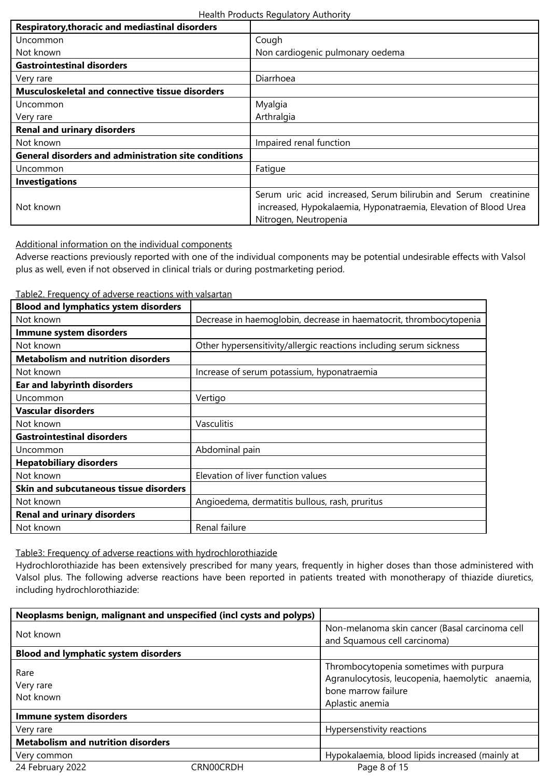| <b>Respiratory, thoracic and mediastinal disorders</b>      |                                                                                                                                                             |  |
|-------------------------------------------------------------|-------------------------------------------------------------------------------------------------------------------------------------------------------------|--|
| Uncommon                                                    | Cough                                                                                                                                                       |  |
| Not known                                                   | Non cardiogenic pulmonary oedema                                                                                                                            |  |
| <b>Gastrointestinal disorders</b>                           |                                                                                                                                                             |  |
| Very rare                                                   | Diarrhoea                                                                                                                                                   |  |
| <b>Musculoskeletal and connective tissue disorders</b>      |                                                                                                                                                             |  |
| Uncommon                                                    | Myalgia                                                                                                                                                     |  |
| Very rare                                                   | Arthralgia                                                                                                                                                  |  |
| <b>Renal and urinary disorders</b>                          |                                                                                                                                                             |  |
| Not known                                                   | Impaired renal function                                                                                                                                     |  |
| <b>General disorders and administration site conditions</b> |                                                                                                                                                             |  |
| Uncommon                                                    | Fatigue                                                                                                                                                     |  |
| <b>Investigations</b>                                       |                                                                                                                                                             |  |
| Not known                                                   | Serum uric acid increased, Serum bilirubin and Serum creatinine<br>increased, Hypokalaemia, Hyponatraemia, Elevation of Blood Urea<br>Nitrogen, Neutropenia |  |

Additional information on the individual components

Adverse reactions previously reported with one of the individual components may be potential undesirable effects with Valsol plus as well, even if not observed in clinical trials or during postmarketing period.

Table2. Frequency of adverse reactions with valsartan

| <b>Blood and lymphatics ystem disorders</b> |                                                                    |
|---------------------------------------------|--------------------------------------------------------------------|
| Not known                                   | Decrease in haemoglobin, decrease in haematocrit, thrombocytopenia |
| Immune system disorders                     |                                                                    |
| Not known                                   | Other hypersensitivity/allergic reactions including serum sickness |
| <b>Metabolism and nutrition disorders</b>   |                                                                    |
| Not known                                   | Increase of serum potassium, hyponatraemia                         |
| <b>Ear and labyrinth disorders</b>          |                                                                    |
| Uncommon                                    | Vertigo                                                            |
| <b>Vascular disorders</b>                   |                                                                    |
| Not known                                   | Vasculitis                                                         |
| <b>Gastrointestinal disorders</b>           |                                                                    |
| Uncommon                                    | Abdominal pain                                                     |
| <b>Hepatobiliary disorders</b>              |                                                                    |
| Not known                                   | Elevation of liver function values                                 |
| Skin and subcutaneous tissue disorders      |                                                                    |
| Not known                                   | Angioedema, dermatitis bullous, rash, pruritus                     |
| <b>Renal and urinary disorders</b>          |                                                                    |
| Not known                                   | Renal failure                                                      |
|                                             |                                                                    |

Table3: Frequency of adverse reactions with hydrochlorothiazide

Hydrochlorothiazide has been extensively prescribed for many years, frequently in higher doses than those administered with Valsol plus. The following adverse reactions have been reported in patients treated with monotherapy of thiazide diuretics, including hydrochlorothiazide:

| Neoplasms benign, malignant and unspecified (incl cysts and polyps) |           |                                                                                                                                       |
|---------------------------------------------------------------------|-----------|---------------------------------------------------------------------------------------------------------------------------------------|
| Not known                                                           |           | Non-melanoma skin cancer (Basal carcinoma cell<br>and Squamous cell carcinoma)                                                        |
| <b>Blood and lymphatic system disorders</b>                         |           |                                                                                                                                       |
| Rare<br>Very rare<br>Not known                                      |           | Thrombocytopenia sometimes with purpura<br>Agranulocytosis, leucopenia, haemolytic anaemia,<br>bone marrow failure<br>Aplastic anemia |
| Immune system disorders                                             |           |                                                                                                                                       |
| Very rare                                                           |           | Hypersenstivity reactions                                                                                                             |
| <b>Metabolism and nutrition disorders</b>                           |           |                                                                                                                                       |
| Very common                                                         |           | Hypokalaemia, blood lipids increased (mainly at                                                                                       |
| 24 February 2022                                                    | CRN00CRDH | Page 8 of 15                                                                                                                          |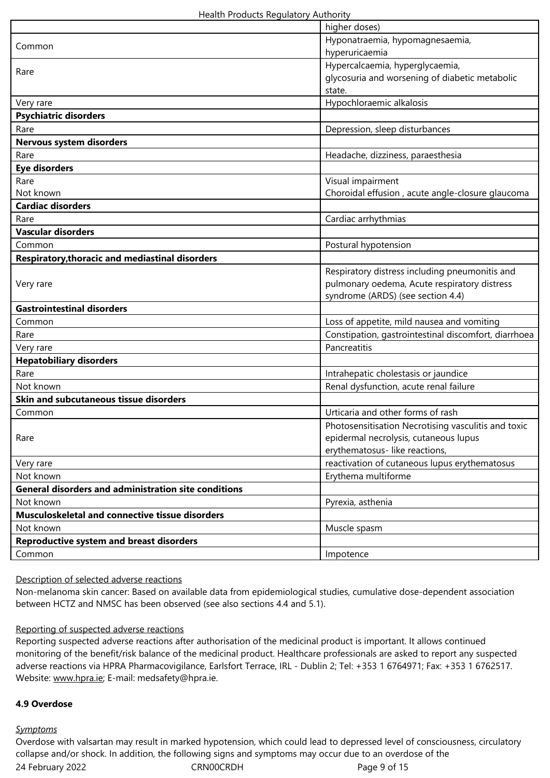|                                                             | higher doses)                                        |
|-------------------------------------------------------------|------------------------------------------------------|
| Common                                                      | Hyponatraemia, hypomagnesaemia,                      |
|                                                             | hyperuricaemia                                       |
|                                                             | Hypercalcaemia, hyperglycaemia,                      |
| Rare                                                        | glycosuria and worsening of diabetic metabolic       |
|                                                             | state.                                               |
| Very rare                                                   | Hypochloraemic alkalosis                             |
| <b>Psychiatric disorders</b>                                |                                                      |
| Rare                                                        | Depression, sleep disturbances                       |
| Nervous system disorders                                    |                                                      |
| Rare                                                        | Headache, dizziness, paraesthesia                    |
| <b>Eye disorders</b>                                        |                                                      |
| Rare                                                        | Visual impairment                                    |
| Not known                                                   | Choroidal effusion, acute angle-closure glaucoma     |
| <b>Cardiac disorders</b>                                    |                                                      |
| Rare                                                        | Cardiac arrhythmias                                  |
| <b>Vascular disorders</b>                                   |                                                      |
| Common                                                      | Postural hypotension                                 |
| <b>Respiratory, thoracic and mediastinal disorders</b>      |                                                      |
|                                                             | Respiratory distress including pneumonitis and       |
| Very rare                                                   | pulmonary oedema, Acute respiratory distress         |
|                                                             | syndrome (ARDS) (see section 4.4)                    |
| <b>Gastrointestinal disorders</b>                           |                                                      |
| Common                                                      | Loss of appetite, mild nausea and vomiting           |
| Rare                                                        | Constipation, gastrointestinal discomfort, diarrhoea |
| Very rare                                                   | Pancreatitis                                         |
| <b>Hepatobiliary disorders</b>                              |                                                      |
| Rare                                                        | Intrahepatic cholestasis or jaundice                 |
| Not known                                                   | Renal dysfunction, acute renal failure               |
| Skin and subcutaneous tissue disorders                      |                                                      |
| Common                                                      | Urticaria and other forms of rash                    |
|                                                             | Photosensitisation Necrotising vasculitis and toxic  |
| Rare                                                        | epidermal necrolysis, cutaneous lupus                |
|                                                             | erythematosus- like reactions,                       |
| Very rare                                                   | reactivation of cutaneous lupus erythematosus        |
| Not known                                                   | Erythema multiforme                                  |
| <b>General disorders and administration site conditions</b> |                                                      |
| Not known                                                   | Pyrexia, asthenia                                    |
| Musculoskeletal and connective tissue disorders             |                                                      |
| Not known                                                   | Muscle spasm                                         |
| <b>Reproductive system and breast disorders</b>             |                                                      |
| Common                                                      | Impotence                                            |

#### Description of selected adverse reactions

Non-melanoma skin cancer: Based on available data from epidemiological studies, cumulative dose-dependent association between HCTZ and NMSC has been observed (see also sections 4.4 and 5.1).

#### Reporting of suspected adverse reactions

Reporting suspected adverse reactions after authorisation of the medicinal product is important. It allows continued monitoring of the benefit/risk balance of the medicinal product. Healthcare professionals are asked to report any suspected adverse reactions via HPRA Pharmacovigilance, Earlsfort Terrace, IRL - Dublin 2; Tel: +353 1 6764971; Fax: +353 1 6762517. Website: www.hpra.ie; E-mail: medsafety@hpra.ie.

#### **4.9 Overdose**

#### *Symptoms*

24 February 2022 CRN00CRDH 24 February 2022 Overdose with valsartan may result in marked hypotension, which could lead to depressed level of consciousness, circulatory collapse and/or shock. In addition, the following signs and symptoms may occur due to an overdose of the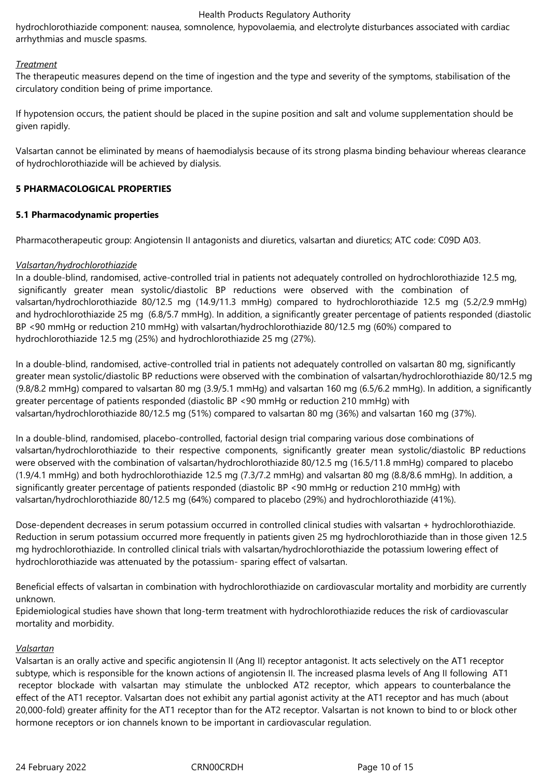hydrochlorothiazide component: nausea, somnolence, hypovolaemia, and electrolyte disturbances associated with cardiac arrhythmias and muscle spasms.

#### *Treatment*

The therapeutic measures depend on the time of ingestion and the type and severity of the symptoms, stabilisation of the circulatory condition being of prime importance.

If hypotension occurs, the patient should be placed in the supine position and salt and volume supplementation should be given rapidly.

Valsartan cannot be eliminated by means of haemodialysis because of its strong plasma binding behaviour whereas clearance of hydrochlorothiazide will be achieved by dialysis.

#### **5 PHARMACOLOGICAL PROPERTIES**

## **5.1 Pharmacodynamic properties**

Pharmacotherapeutic group: Angiotensin II antagonists and diuretics, valsartan and diuretics; ATC code: C09D A03.

## *Valsartan/hydrochlorothiazide*

In a double-blind, randomised, active-controlled trial in patients not adequately controlled on hydrochlorothiazide 12.5 mg, significantly greater mean systolic/diastolic BP reductions were observed with the combination of valsartan/hydrochlorothiazide 80/12.5 mg (14.9/11.3 mmHg) compared to hydrochlorothiazide 12.5 mg (5.2/2.9 mmHg) and hydrochlorothiazide 25 mg (6.8/5.7 mmHg). In addition, a significantly greater percentage of patients responded (diastolic BP <90 mmHg or reduction 210 mmHg) with valsartan/hydrochlorothiazide 80/12.5 mg (60%) compared to hydrochlorothiazide 12.5 mg (25%) and hydrochlorothiazide 25 mg (27%).

In a double-blind, randomised, active-controlled trial in patients not adequately controlled on valsartan 80 mg, significantly greater mean systolic/diastolic BP reductions were observed with the combination of valsartan/hydrochlorothiazide 80/12.5 mg (9.8/8.2 mmHg) compared to valsartan 80 mg (3.9/5.1 mmHg) and valsartan 160 mg (6.5/6.2 mmHg). In addition, a significantly greater percentage of patients responded (diastolic BP <90 mmHg or reduction 210 mmHg) with valsartan/hydrochlorothiazide 80/12.5 mg (51%) compared to valsartan 80 mg (36%) and valsartan 160 mg (37%).

In a double-blind, randomised, placebo-controlled, factorial design trial comparing various dose combinations of valsartan/hydrochlorothiazide to their respective components, significantly greater mean systolic/diastolic BP reductions were observed with the combination of valsartan/hydrochlorothiazide 80/12.5 mg (16.5/11.8 mmHg) compared to placebo (1.9/4.1 mmHg) and both hydrochlorothiazide 12.5 mg (7.3/7.2 mmHg) and valsartan 80 mg (8.8/8.6 mmHg). In addition, a significantly greater percentage of patients responded (diastolic BP <90 mmHg or reduction 210 mmHg) with valsartan/hydrochlorothiazide 80/12.5 mg (64%) compared to placebo (29%) and hydrochlorothiazide (41%).

Dose-dependent decreases in serum potassium occurred in controlled clinical studies with valsartan + hydrochlorothiazide. Reduction in serum potassium occurred more frequently in patients given 25 mg hydrochlorothiazide than in those given 12.5 mg hydrochlorothiazide. In controlled clinical trials with valsartan/hydrochlorothiazide the potassium lowering effect of hydrochlorothiazide was attenuated by the potassium- sparing effect of valsartan.

Beneficial effects of valsartan in combination with hydrochlorothiazide on cardiovascular mortality and morbidity are currently unknown.

Epidemiological studies have shown that long-term treatment with hydrochlorothiazide reduces the risk of cardiovascular mortality and morbidity.

#### *Valsartan*

Valsartan is an orally active and specific angiotensin II (Ang II) receptor antagonist. It acts selectively on the AT1 receptor subtype, which is responsible for the known actions of angiotensin II. The increased plasma levels of Ang II following AT1 receptor blockade with valsartan may stimulate the unblocked AT2 receptor, which appears to counterbalance the effect of the AT1 receptor. Valsartan does not exhibit any partial agonist activity at the AT1 receptor and has much (about 20,000-fold) greater affinity for the AT1 receptor than for the AT2 receptor. Valsartan is not known to bind to or block other hormone receptors or ion channels known to be important in cardiovascular regulation.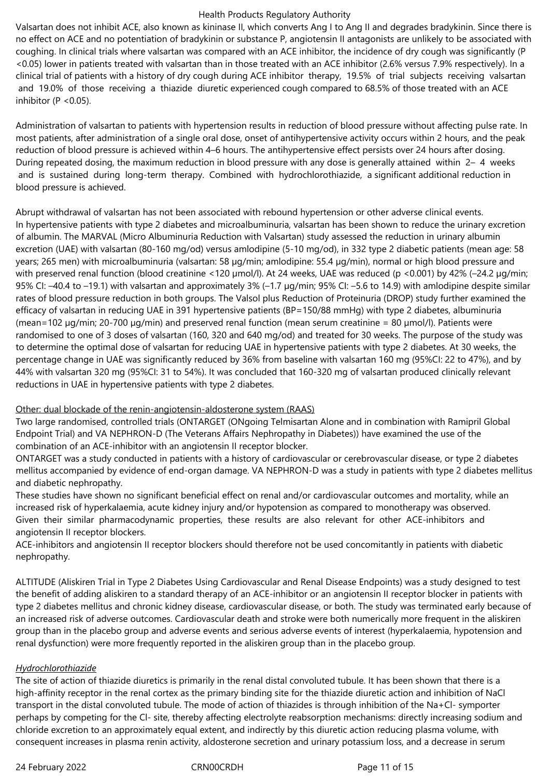Valsartan does not inhibit ACE, also known as kininase II, which converts Ang I to Ang II and degrades bradykinin. Since there is no effect on ACE and no potentiation of bradykinin or substance P, angiotensin II antagonists are unlikely to be associated with coughing. In clinical trials where valsartan was compared with an ACE inhibitor, the incidence of dry cough was significantly (P <0.05) lower in patients treated with valsartan than in those treated with an ACE inhibitor (2.6% versus 7.9% respectively). In a clinical trial of patients with a history of dry cough during ACE inhibitor therapy, 19.5% of trial subjects receiving valsartan and 19.0% of those receiving a thiazide diuretic experienced cough compared to 68.5% of those treated with an ACE inhibitor ( $P < 0.05$ ).

Administration of valsartan to patients with hypertension results in reduction of blood pressure without affecting pulse rate. In most patients, after administration of a single oral dose, onset of antihypertensive activity occurs within 2 hours, and the peak reduction of blood pressure is achieved within 4–6 hours. The antihypertensive effect persists over 24 hours after dosing. During repeated dosing, the maximum reduction in blood pressure with any dose is generally attained within 2– 4 weeks and is sustained during long-term therapy. Combined with hydrochlorothiazide, a significant additional reduction in blood pressure is achieved.

Abrupt withdrawal of valsartan has not been associated with rebound hypertension or other adverse clinical events. In hypertensive patients with type 2 diabetes and microalbuminuria, valsartan has been shown to reduce the urinary excretion of albumin. The MARVAL (Micro Albuminuria Reduction with Valsartan) study assessed the reduction in urinary albumin excretion (UAE) with valsartan (80-160 mg/od) versus amlodipine (5-10 mg/od), in 332 type 2 diabetic patients (mean age: 58 years; 265 men) with microalbuminuria (valsartan: 58 µg/min; amlodipine: 55.4 µg/min), normal or high blood pressure and with preserved renal function (blood creatinine <120 µmol/l). At 24 weeks, UAE was reduced (p <0.001) by 42% (-24.2 µg/min; 95% CI: –40.4 to –19.1) with valsartan and approximately 3% (–1.7 µg/min; 95% CI: –5.6 to 14.9) with amlodipine despite similar rates of blood pressure reduction in both groups. The Valsol plus Reduction of Proteinuria (DROP) study further examined the efficacy of valsartan in reducing UAE in 391 hypertensive patients (BP=150/88 mmHg) with type 2 diabetes, albuminuria (mean=102 µg/min; 20-700 µg/min) and preserved renal function (mean serum creatinine = 80 µmol/l). Patients were randomised to one of 3 doses of valsartan (160, 320 and 640 mg/od) and treated for 30 weeks. The purpose of the study was to determine the optimal dose of valsartan for reducing UAE in hypertensive patients with type 2 diabetes. At 30 weeks, the percentage change in UAE was significantly reduced by 36% from baseline with valsartan 160 mg (95%CI: 22 to 47%), and by 44% with valsartan 320 mg (95%CI: 31 to 54%). It was concluded that 160-320 mg of valsartan produced clinically relevant reductions in UAE in hypertensive patients with type 2 diabetes.

#### Other: dual blockade of the renin-angiotensin-aldosterone system (RAAS)

Two large randomised, controlled trials (ONTARGET (ONgoing Telmisartan Alone and in combination with Ramipril Global Endpoint Trial) and VA NEPHRON-D (The Veterans Affairs Nephropathy in Diabetes)) have examined the use of the combination of an ACE-inhibitor with an angiotensin II receptor blocker.

ONTARGET was a study conducted in patients with a history of cardiovascular or cerebrovascular disease, or type 2 diabetes mellitus accompanied by evidence of end-organ damage. VA NEPHRON-D was a study in patients with type 2 diabetes mellitus and diabetic nephropathy.

These studies have shown no significant beneficial effect on renal and/or cardiovascular outcomes and mortality, while an increased risk of hyperkalaemia, acute kidney injury and/or hypotension as compared to monotherapy was observed. Given their similar pharmacodynamic properties, these results are also relevant for other ACE-inhibitors and angiotensin II receptor blockers.

ACE-inhibitors and angiotensin II receptor blockers should therefore not be used concomitantly in patients with diabetic nephropathy.

ALTITUDE (Aliskiren Trial in Type 2 Diabetes Using Cardiovascular and Renal Disease Endpoints) was a study designed to test the benefit of adding aliskiren to a standard therapy of an ACE-inhibitor or an angiotensin II receptor blocker in patients with type 2 diabetes mellitus and chronic kidney disease, cardiovascular disease, or both. The study was terminated early because of an increased risk of adverse outcomes. Cardiovascular death and stroke were both numerically more frequent in the aliskiren group than in the placebo group and adverse events and serious adverse events of interest (hyperkalaemia, hypotension and renal dysfunction) were more frequently reported in the aliskiren group than in the placebo group.

## *Hydrochlorothiazide*

The site of action of thiazide diuretics is primarily in the renal distal convoluted tubule. It has been shown that there is a high-affinity receptor in the renal cortex as the primary binding site for the thiazide diuretic action and inhibition of NaCl transport in the distal convoluted tubule. The mode of action of thiazides is through inhibition of the Na+Cl- symporter perhaps by competing for the Cl- site, thereby affecting electrolyte reabsorption mechanisms: directly increasing sodium and chloride excretion to an approximately equal extent, and indirectly by this diuretic action reducing plasma volume, with consequent increases in plasma renin activity, aldosterone secretion and urinary potassium loss, and a decrease in serum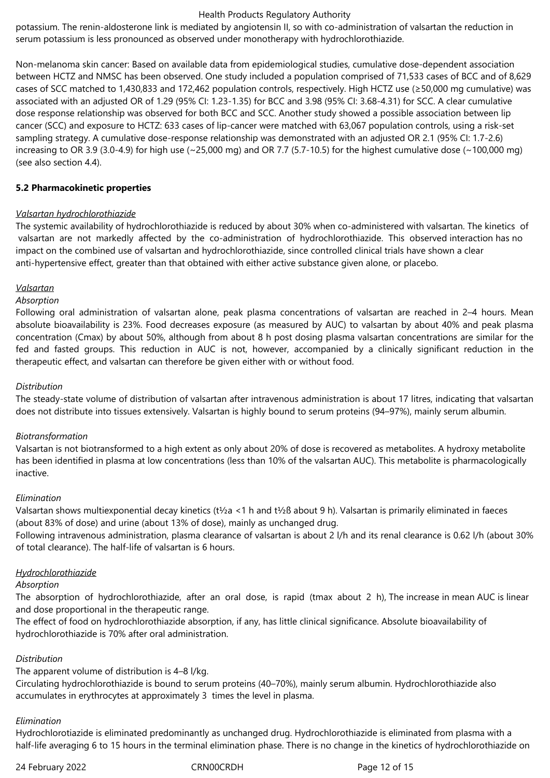potassium. The renin-aldosterone link is mediated by angiotensin II, so with co-administration of valsartan the reduction in serum potassium is less pronounced as observed under monotherapy with hydrochlorothiazide.

Non-melanoma skin cancer: Based on available data from epidemiological studies, cumulative dose-dependent association between HCTZ and NMSC has been observed. One study included a population comprised of 71,533 cases of BCC and of 8,629 cases of SCC matched to 1,430,833 and 172,462 population controls, respectively. High HCTZ use (≥50,000 mg cumulative) was associated with an adjusted OR of 1.29 (95% CI: 1.23-1.35) for BCC and 3.98 (95% CI: 3.68-4.31) for SCC. A clear cumulative dose response relationship was observed for both BCC and SCC. Another study showed a possible association between lip cancer (SCC) and exposure to HCTZ: 633 cases of lip-cancer were matched with 63,067 population controls, using a risk-set sampling strategy. A cumulative dose-response relationship was demonstrated with an adjusted OR 2.1 (95% CI: 1.7-2.6) increasing to OR 3.9 (3.0-4.9) for high use ( $\sim$ 25,000 mg) and OR 7.7 (5.7-10.5) for the highest cumulative dose ( $\sim$ 100,000 mg) (see also section 4.4).

#### **5.2 Pharmacokinetic properties**

#### *Valsartan hydrochlorothiazide*

The systemic availability of hydrochlorothiazide is reduced by about 30% when co-administered with valsartan. The kinetics of valsartan are not markedly affected by the co-administration of hydrochlorothiazide. This observed interaction has no impact on the combined use of valsartan and hydrochlorothiazide, since controlled clinical trials have shown a clear anti-hypertensive effect, greater than that obtained with either active substance given alone, or placebo.

#### *Valsartan*

#### *Absorption*

Following oral administration of valsartan alone, peak plasma concentrations of valsartan are reached in 2–4 hours. Mean absolute bioavailability is 23%. Food decreases exposure (as measured by AUC) to valsartan by about 40% and peak plasma concentration (Cmax) by about 50%, although from about 8 h post dosing plasma valsartan concentrations are similar for the fed and fasted groups. This reduction in AUC is not, however, accompanied by a clinically significant reduction in the therapeutic effect, and valsartan can therefore be given either with or without food.

#### *Distribution*

The steady-state volume of distribution of valsartan after intravenous administration is about 17 litres, indicating that valsartan does not distribute into tissues extensively. Valsartan is highly bound to serum proteins (94–97%), mainly serum albumin.

#### *Biotransformation*

Valsartan is not biotransformed to a high extent as only about 20% of dose is recovered as metabolites. A hydroxy metabolite has been identified in plasma at low concentrations (less than 10% of the valsartan AUC). This metabolite is pharmacologically inactive.

#### *Elimination*

Valsartan shows multiexponential decay kinetics (t½a <1 h and t½ß about 9 h). Valsartan is primarily eliminated in faeces (about 83% of dose) and urine (about 13% of dose), mainly as unchanged drug.

Following intravenous administration, plasma clearance of valsartan is about 2 l/h and its renal clearance is 0.62 l/h (about 30% of total clearance). The half-life of valsartan is 6 hours.

#### *Hydrochlorothiazide*

#### *Absorption*

The absorption of hydrochlorothiazide, after an oral dose, is rapid (tmax about 2 h), The increase in mean AUC is linear and dose proportional in the therapeutic range.

The effect of food on hydrochlorothiazide absorption, if any, has little clinical significance. Absolute bioavailability of hydrochlorothiazide is 70% after oral administration.

#### *Distribution*

The apparent volume of distribution is 4–8 l/kg.

Circulating hydrochlorothiazide is bound to serum proteins (40–70%), mainly serum albumin. Hydrochlorothiazide also accumulates in erythrocytes at approximately 3 times the level in plasma.

#### *Elimination*

Hydrochlorotiazide is eliminated predominantly as unchanged drug. Hydrochlorothiazide is eliminated from plasma with a half-life averaging 6 to 15 hours in the terminal elimination phase. There is no change in the kinetics of hydrochlorothiazide on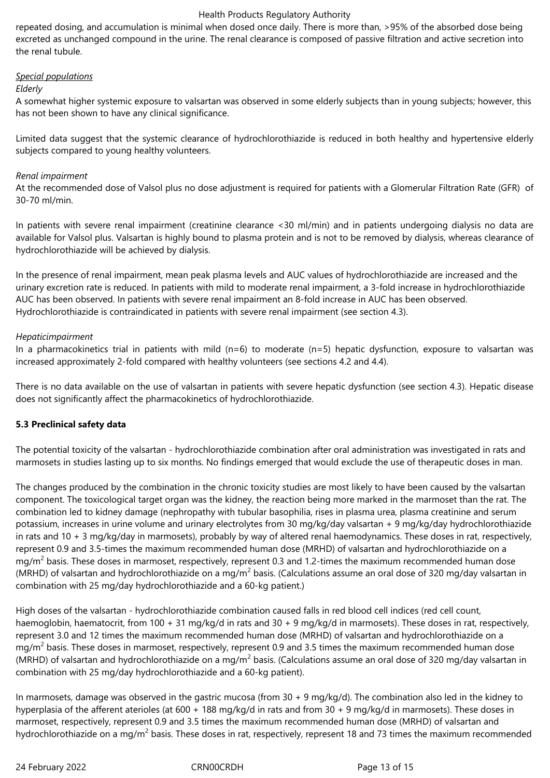repeated dosing, and accumulation is minimal when dosed once daily. There is more than, >95% of the absorbed dose being excreted as unchanged compound in the urine. The renal clearance is composed of passive filtration and active secretion into the renal tubule.

## *Special populations*

#### *Elderly*

A somewhat higher systemic exposure to valsartan was observed in some elderly subjects than in young subjects; however, this has not been shown to have any clinical significance.

Limited data suggest that the systemic clearance of hydrochlorothiazide is reduced in both healthy and hypertensive elderly subjects compared to young healthy volunteers.

#### *Renal impairment*

At the recommended dose of Valsol plus no dose adjustment is required for patients with a Glomerular Filtration Rate (GFR) of 30-70 ml/min.

In patients with severe renal impairment (creatinine clearance <30 ml/min) and in patients undergoing dialysis no data are available for Valsol plus. Valsartan is highly bound to plasma protein and is not to be removed by dialysis, whereas clearance of hydrochlorothiazide will be achieved by dialysis.

In the presence of renal impairment, mean peak plasma levels and AUC values of hydrochlorothiazide are increased and the urinary excretion rate is reduced. In patients with mild to moderate renal impairment, a 3-fold increase in hydrochlorothiazide AUC has been observed. In patients with severe renal impairment an 8-fold increase in AUC has been observed. Hydrochlorothiazide is contraindicated in patients with severe renal impairment (see section 4.3).

## *Hepaticimpairment*

In a pharmacokinetics trial in patients with mild  $(n=6)$  to moderate  $(n=5)$  hepatic dysfunction, exposure to valsartan was increased approximately 2-fold compared with healthy volunteers (see sections 4.2 and 4.4).

There is no data available on the use of valsartan in patients with severe hepatic dysfunction (see section 4.3). Hepatic disease does not significantly affect the pharmacokinetics of hydrochlorothiazide.

## **5.3 Preclinical safety data**

The potential toxicity of the valsartan - hydrochlorothiazide combination after oral administration was investigated in rats and marmosets in studies lasting up to six months. No findings emerged that would exclude the use of therapeutic doses in man.

The changes produced by the combination in the chronic toxicity studies are most likely to have been caused by the valsartan component. The toxicological target organ was the kidney, the reaction being more marked in the marmoset than the rat. The combination led to kidney damage (nephropathy with tubular basophilia, rises in plasma urea, plasma creatinine and serum potassium, increases in urine volume and urinary electrolytes from 30 mg/kg/day valsartan + 9 mg/kg/day hydrochlorothiazide in rats and 10 + 3 mg/kg/day in marmosets), probably by way of altered renal haemodynamics. These doses in rat, respectively, represent 0.9 and 3.5-times the maximum recommended human dose (MRHD) of valsartan and hydrochlorothiazide on a mg/m<sup>2</sup> basis. These doses in marmoset, respectively, represent 0.3 and 1.2-times the maximum recommended human dose (MRHD) of valsartan and hydrochlorothiazide on a mg/m<sup>2</sup> basis. (Calculations assume an oral dose of 320 mg/day valsartan in combination with 25 mg/day hydrochlorothiazide and a 60-kg patient.)

High doses of the valsartan - hydrochlorothiazide combination caused falls in red blood cell indices (red cell count, haemoglobin, haematocrit, from 100 + 31 mg/kg/d in rats and 30 + 9 mg/kg/d in marmosets). These doses in rat, respectively, represent 3.0 and 12 times the maximum recommended human dose (MRHD) of valsartan and hydrochlorothiazide on a mg/m<sup>2</sup> basis. These doses in marmoset, respectively, represent 0.9 and 3.5 times the maximum recommended human dose (MRHD) of valsartan and hydrochlorothiazide on a mg/m<sup>2</sup> basis. (Calculations assume an oral dose of 320 mg/day valsartan in combination with 25 mg/day hydrochlorothiazide and a 60-kg patient).

In marmosets, damage was observed in the gastric mucosa (from 30 + 9 mg/kg/d). The combination also led in the kidney to hyperplasia of the afferent aterioles (at 600 + 188 mg/kg/d in rats and from 30 + 9 mg/kg/d in marmosets). These doses in marmoset, respectively, represent 0.9 and 3.5 times the maximum recommended human dose (MRHD) of valsartan and hydrochlorothiazide on a mg/m<sup>2</sup> basis. These doses in rat, respectively, represent 18 and 73 times the maximum recommended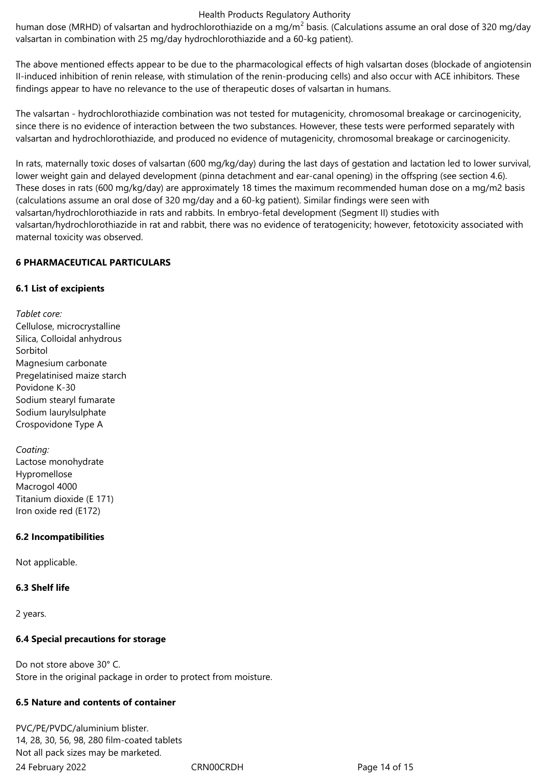human dose (MRHD) of valsartan and hydrochlorothiazide on a mg/m<sup>2</sup> basis. (Calculations assume an oral dose of 320 mg/day valsartan in combination with 25 mg/day hydrochlorothiazide and a 60-kg patient).

The above mentioned effects appear to be due to the pharmacological effects of high valsartan doses (blockade of angiotensin II-induced inhibition of renin release, with stimulation of the renin-producing cells) and also occur with ACE inhibitors. These findings appear to have no relevance to the use of therapeutic doses of valsartan in humans.

The valsartan - hydrochlorothiazide combination was not tested for mutagenicity, chromosomal breakage or carcinogenicity, since there is no evidence of interaction between the two substances. However, these tests were performed separately with valsartan and hydrochlorothiazide, and produced no evidence of mutagenicity, chromosomal breakage or carcinogenicity.

In rats, maternally toxic doses of valsartan (600 mg/kg/day) during the last days of gestation and lactation led to lower survival, lower weight gain and delayed development (pinna detachment and ear-canal opening) in the offspring (see section 4.6). These doses in rats (600 mg/kg/day) are approximately 18 times the maximum recommended human dose on a mg/m2 basis (calculations assume an oral dose of 320 mg/day and a 60-kg patient). Similar findings were seen with valsartan/hydrochlorothiazide in rats and rabbits. In embryo-fetal development (Segment II) studies with valsartan/hydrochlorothiazide in rat and rabbit, there was no evidence of teratogenicity; however, fetotoxicity associated with maternal toxicity was observed.

#### **6 PHARMACEUTICAL PARTICULARS**

## **6.1 List of excipients**

*Tablet core:* Cellulose, microcrystalline Silica, Colloidal anhydrous Sorbitol Magnesium carbonate Pregelatinised maize starch Povidone K-30 Sodium stearyl fumarate Sodium laurylsulphate Crospovidone Type A

*Coating:* Lactose monohydrate Hypromellose Macrogol 4000 Titanium dioxide (E 171) Iron oxide red (E172)

## **6.2 Incompatibilities**

Not applicable.

#### **6.3 Shelf life**

2 years.

## **6.4 Special precautions for storage**

Do not store above 30° C. Store in the original package in order to protect from moisture.

## **6.5 Nature and contents of container**

24 February 2022 CRN00CRDH Page 14 of 15 PVC/PE/PVDC/aluminium blister. 14, 28, 30, 56, 98, 280 film-coated tablets Not all pack sizes may be marketed.